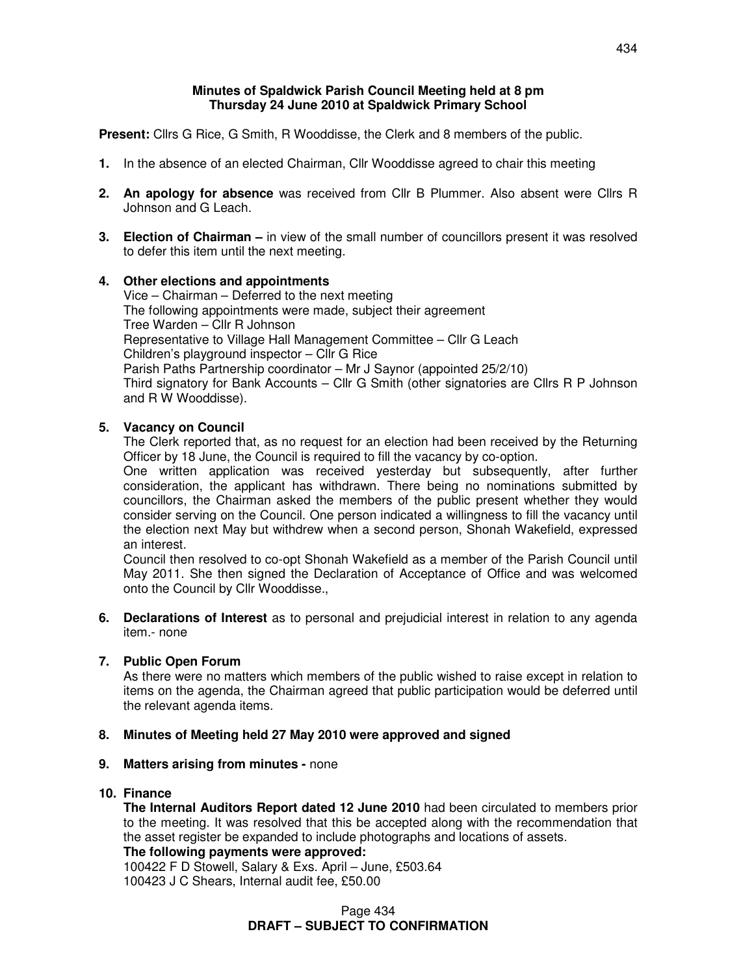#### **Minutes of Spaldwick Parish Council Meeting held at 8 pm Thursday 24 June 2010 at Spaldwick Primary School**

**Present:** Cllrs G Rice, G Smith, R Wooddisse, the Clerk and 8 members of the public.

- **1.** In the absence of an elected Chairman, Cllr Wooddisse agreed to chair this meeting
- **2. An apology for absence** was received from Cllr B Plummer. Also absent were Cllrs R Johnson and G Leach.
- **3. Election of Chairman** in view of the small number of councillors present it was resolved to defer this item until the next meeting.

## **4. Other elections and appointments** Vice – Chairman – Deferred to the next meeting The following appointments were made, subject their agreement Tree Warden – Cllr R Johnson Representative to Village Hall Management Committee – Cllr G Leach Children's playground inspector – Cllr G Rice Parish Paths Partnership coordinator – Mr J Saynor (appointed 25/2/10) Third signatory for Bank Accounts – Cllr G Smith (other signatories are Cllrs R P Johnson and R W Wooddisse).

# **5. Vacancy on Council**

The Clerk reported that, as no request for an election had been received by the Returning Officer by 18 June, the Council is required to fill the vacancy by co-option.

One written application was received yesterday but subsequently, after further consideration, the applicant has withdrawn. There being no nominations submitted by councillors, the Chairman asked the members of the public present whether they would consider serving on the Council. One person indicated a willingness to fill the vacancy until the election next May but withdrew when a second person, Shonah Wakefield, expressed an interest.

 Council then resolved to co-opt Shonah Wakefield as a member of the Parish Council until May 2011. She then signed the Declaration of Acceptance of Office and was welcomed onto the Council by Cllr Wooddisse.,

**6. Declarations of Interest** as to personal and prejudicial interest in relation to any agenda item.- none

#### **7. Public Open Forum**

As there were no matters which members of the public wished to raise except in relation to items on the agenda, the Chairman agreed that public participation would be deferred until the relevant agenda items.

#### **8. Minutes of Meeting held 27 May 2010 were approved and signed**

#### **9. Matters arising from minutes -** none

#### **10. Finance**

 **The Internal Auditors Report dated 12 June 2010** had been circulated to members prior to the meeting. It was resolved that this be accepted along with the recommendation that the asset register be expanded to include photographs and locations of assets. **The following payments were approved:** 

100422 F D Stowell, Salary & Exs. April – June, £503.64 100423 J C Shears, Internal audit fee, £50.00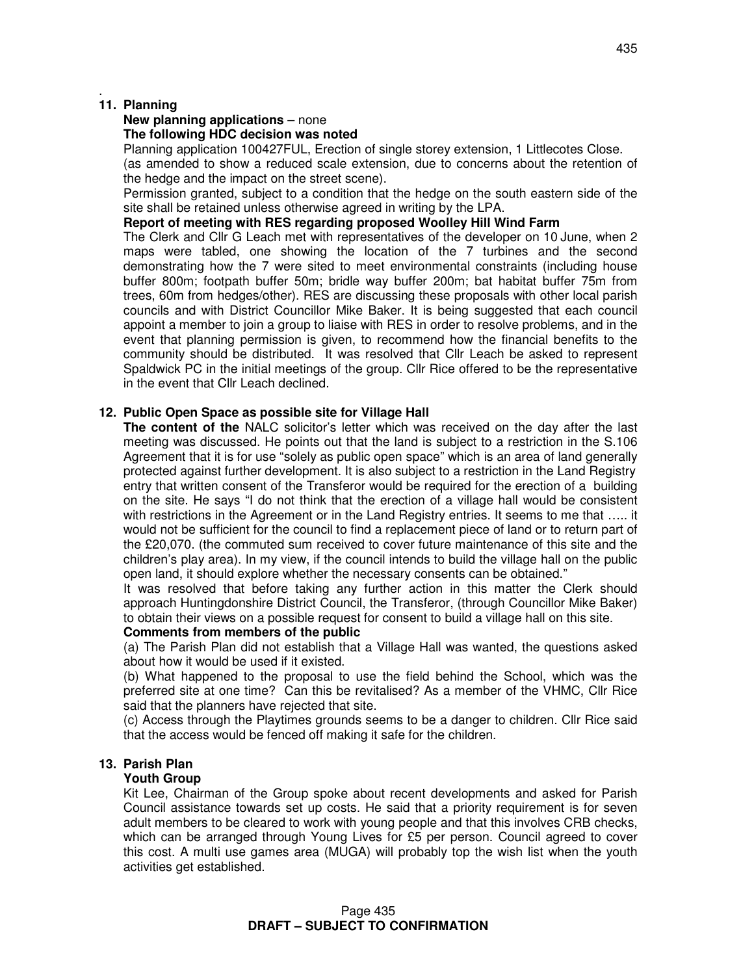# **11. Planning**

.

# **New planning applications** – none

# **The following HDC decision was noted**

Planning application 100427FUL, Erection of single storey extension, 1 Littlecotes Close. (as amended to show a reduced scale extension, due to concerns about the retention of the hedge and the impact on the street scene).

 Permission granted, subject to a condition that the hedge on the south eastern side of the site shall be retained unless otherwise agreed in writing by the LPA.

## **Report of meeting with RES regarding proposed Woolley Hill Wind Farm**

The Clerk and Cllr G Leach met with representatives of the developer on 10 June, when 2 maps were tabled, one showing the location of the 7 turbines and the second demonstrating how the 7 were sited to meet environmental constraints (including house buffer 800m; footpath buffer 50m; bridle way buffer 200m; bat habitat buffer 75m from trees, 60m from hedges/other). RES are discussing these proposals with other local parish councils and with District Councillor Mike Baker. It is being suggested that each council appoint a member to join a group to liaise with RES in order to resolve problems, and in the event that planning permission is given, to recommend how the financial benefits to the community should be distributed. It was resolved that Cllr Leach be asked to represent Spaldwick PC in the initial meetings of the group. Cllr Rice offered to be the representative in the event that Cllr Leach declined.

# **12. Public Open Space as possible site for Village Hall**

 **The content of the** NALC solicitor's letter which was received on the day after the last meeting was discussed. He points out that the land is subject to a restriction in the S.106 Agreement that it is for use "solely as public open space" which is an area of land generally protected against further development. It is also subject to a restriction in the Land Registry entry that written consent of the Transferor would be required for the erection of a building on the site. He says "I do not think that the erection of a village hall would be consistent with restrictions in the Agreement or in the Land Registry entries. It seems to me that ….. it would not be sufficient for the council to find a replacement piece of land or to return part of the £20,070. (the commuted sum received to cover future maintenance of this site and the children's play area). In my view, if the council intends to build the village hall on the public open land, it should explore whether the necessary consents can be obtained."

 It was resolved that before taking any further action in this matter the Clerk should approach Huntingdonshire District Council, the Transferor, (through Councillor Mike Baker) to obtain their views on a possible request for consent to build a village hall on this site.

# **Comments from members of the public**

(a) The Parish Plan did not establish that a Village Hall was wanted, the questions asked about how it would be used if it existed.

 (b) What happened to the proposal to use the field behind the School, which was the preferred site at one time? Can this be revitalised? As a member of the VHMC, Cllr Rice said that the planners have rejected that site.

 (c) Access through the Playtimes grounds seems to be a danger to children. Cllr Rice said that the access would be fenced off making it safe for the children.

# **13. Parish Plan**

#### **Youth Group**

Kit Lee, Chairman of the Group spoke about recent developments and asked for Parish Council assistance towards set up costs. He said that a priority requirement is for seven adult members to be cleared to work with young people and that this involves CRB checks, which can be arranged through Young Lives for £5 per person. Council agreed to cover this cost. A multi use games area (MUGA) will probably top the wish list when the youth activities get established.